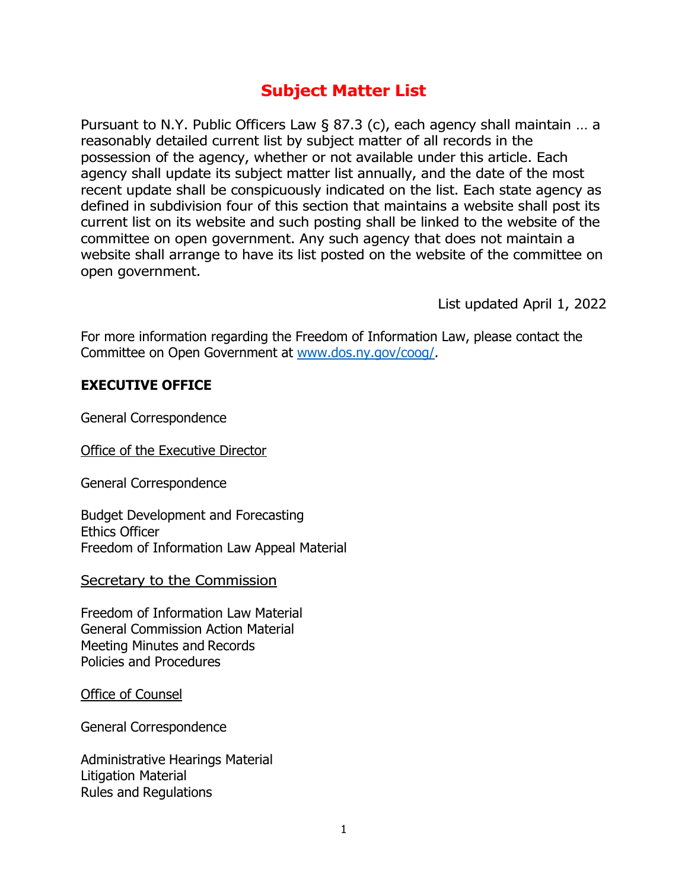# **Subject Matter List**

Pursuant to N.Y. Public Officers Law § 87.3 (c), each agency shall maintain … a reasonably detailed current list by subject matter of all records in the possession of the agency, whether or not available under this article. Each agency shall update its subject matter list annually, and the date of the most recent update shall be conspicuously indicated on the list. Each state agency as defined in subdivision four of this section that maintains a website shall post its current list on its website and such posting shall be linked to the website of the committee on open government. Any such agency that does not maintain a website shall arrange to have its list posted on the website of the committee on open government.

List updated April 1, 2022

For more information regarding the Freedom of Information Law, please contact the Committee on Open Government at [www.dos.ny.gov/coog/.](http://www.dos.ny.gov/coog/)

### **EXECUTIVE OFFICE**

General Correspondence

Office of the Executive Director

General Correspondence

Budget Development and Forecasting Ethics Officer Freedom of Information Law Appeal Material

Secretary to the Commission

Freedom of Information Law Material General Commission Action Material Meeting Minutes and Records Policies and Procedures

Office of Counsel

General Correspondence

Administrative Hearings Material Litigation Material Rules and Regulations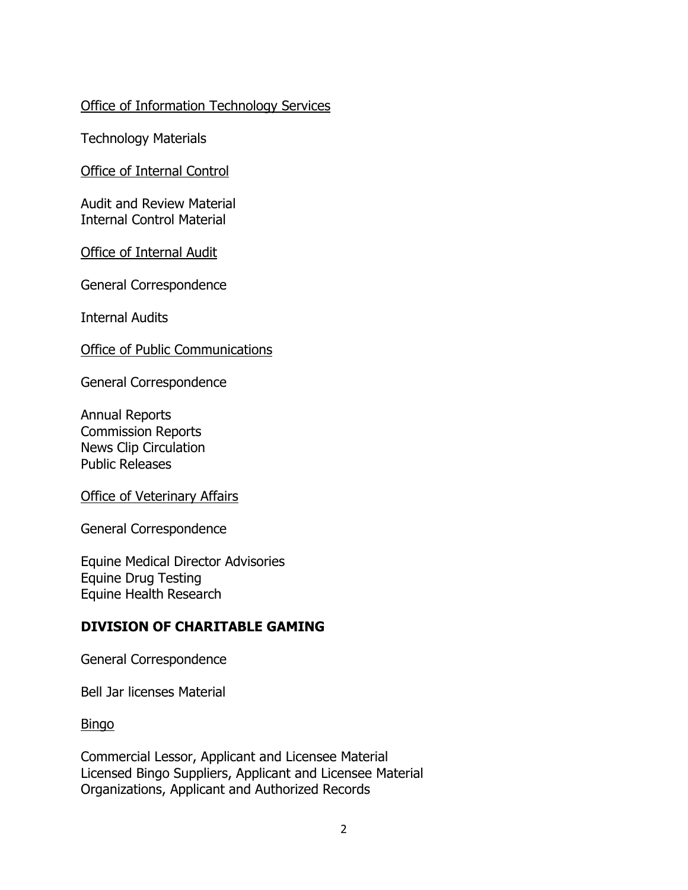### Office of Information Technology Services

Technology Materials

Office of Internal Control

Audit and Review Material Internal Control Material

Office of Internal Audit

General Correspondence

Internal Audits

Office of Public Communications

General Correspondence

Annual Reports Commission Reports News Clip Circulation Public Releases

Office of Veterinary Affairs

General Correspondence

Equine Medical Director Advisories Equine Drug Testing Equine Health Research

### **DIVISION OF CHARITABLE GAMING**

General Correspondence

Bell Jar licenses Material

Bingo

Commercial Lessor, Applicant and Licensee Material Licensed Bingo Suppliers, Applicant and Licensee Material Organizations, Applicant and Authorized Records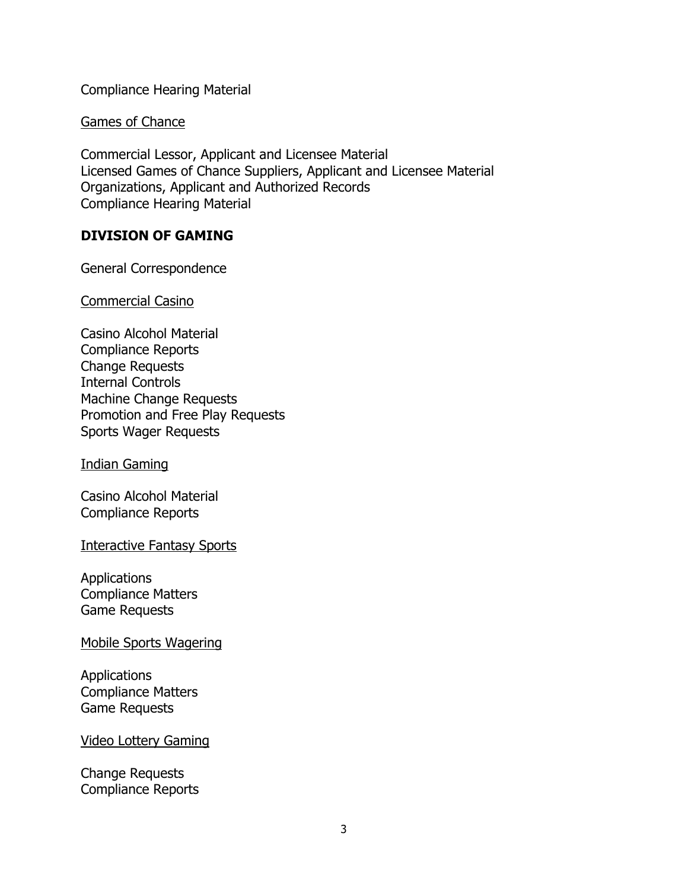Compliance Hearing Material

Games of Chance

Commercial Lessor, Applicant and Licensee Material Licensed Games of Chance Suppliers, Applicant and Licensee Material Organizations, Applicant and Authorized Records Compliance Hearing Material

## **DIVISION OF GAMING**

General Correspondence

Commercial Casino

Casino Alcohol Material Compliance Reports Change Requests Internal Controls Machine Change Requests Promotion and Free Play Requests Sports Wager Requests

Indian Gaming

Casino Alcohol Material Compliance Reports

Interactive Fantasy Sports

Applications Compliance Matters Game Requests

Mobile Sports Wagering

Applications Compliance Matters Game Requests

#### Video Lottery Gaming

Change Requests Compliance Reports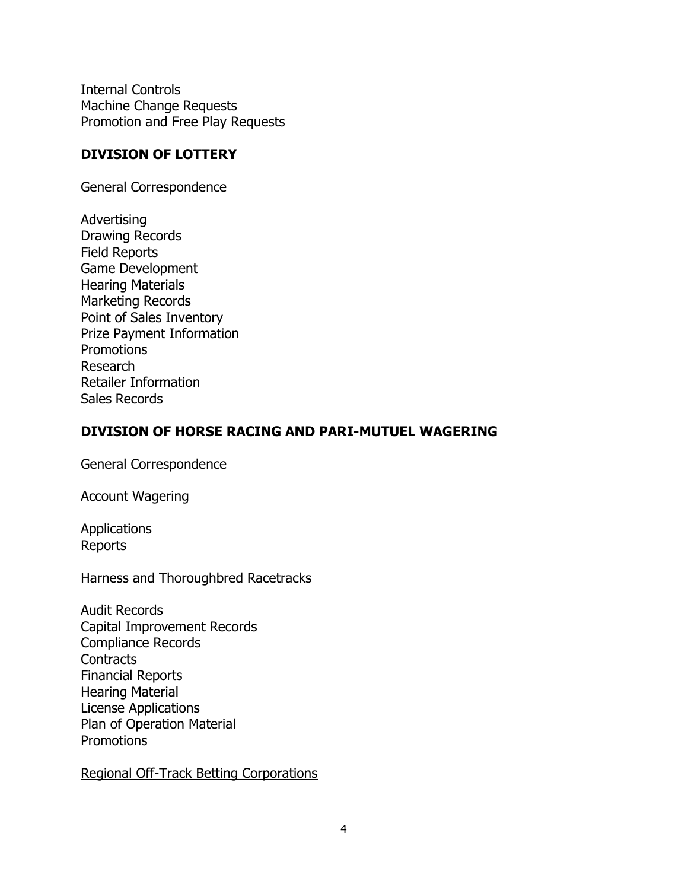Internal Controls Machine Change Requests Promotion and Free Play Requests

### **DIVISION OF LOTTERY**

General Correspondence

Advertising Drawing Records Field Reports Game Development Hearing Materials Marketing Records Point of Sales Inventory Prize Payment Information **Promotions** Research Retailer Information Sales Records

### **DIVISION OF HORSE RACING AND PARI-MUTUEL WAGERING**

General Correspondence

Account Wagering

Applications Reports

### Harness and Thoroughbred Racetracks

Audit Records Capital Improvement Records Compliance Records **Contracts** Financial Reports Hearing Material License Applications Plan of Operation Material **Promotions** 

Regional Off-Track Betting Corporations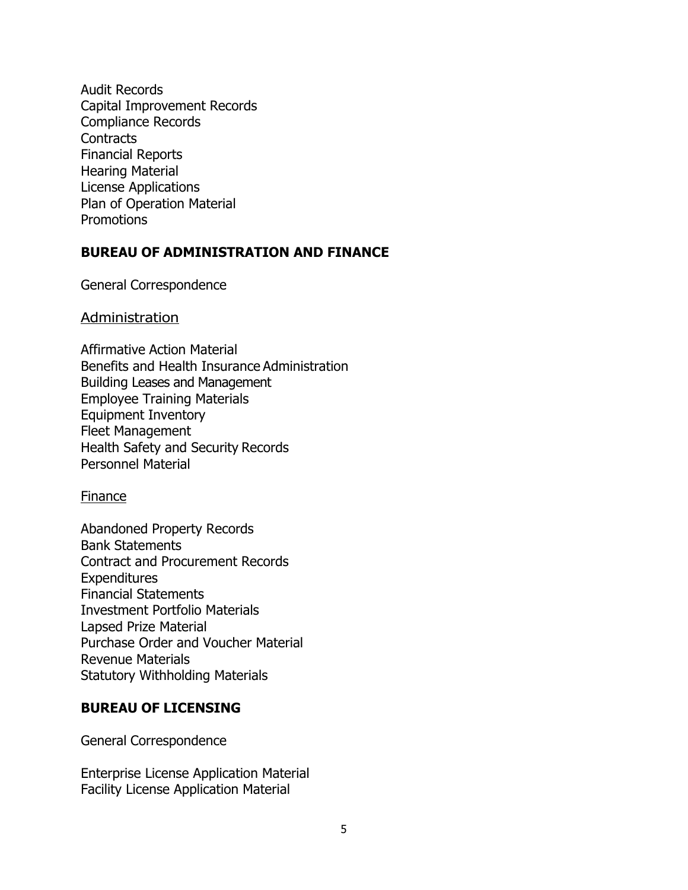Audit Records Capital Improvement Records Compliance Records **Contracts** Financial Reports Hearing Material License Applications Plan of Operation Material **Promotions** 

### **BUREAU OF ADMINISTRATION AND FINANCE**

General Correspondence

#### **Administration**

Affirmative Action Material Benefits and Health Insurance Administration Building Leases and Management Employee Training Materials Equipment Inventory Fleet Management Health Safety and Security Records Personnel Material

#### Finance

Abandoned Property Records Bank Statements Contract and Procurement Records **Expenditures** Financial Statements Investment Portfolio Materials Lapsed Prize Material Purchase Order and Voucher Material Revenue Materials Statutory Withholding Materials

#### **BUREAU OF LICENSING**

General Correspondence

Enterprise License Application Material Facility License Application Material